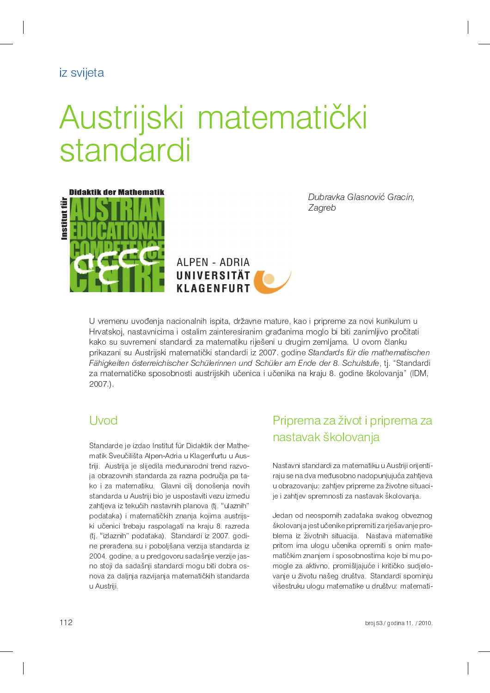iz svijeta

# Austrijski matematički standardi



Dubravka Glasnović Gracin. Zagreb



U vremenu uvođenja nacionalnih ispita, državne mature, kao i pripreme za novi kurikulum u Hrvatskoj, nastavnicima i ostalim zainteresiranim građanima moglo bi biti zanimljivo pročitati kako su suvremeni standardi za matematiku riješeni u drugim zemljama. U ovom članku prikazani su Austrijski matematički standardi iz 2007. godine Standards für die mathematischen Fähigkeiten österreichischer Schülerinnen und Schüler am Ende der 8. Schulstufe, tj. "Standardi za matematičke sposobnosti austrijskih učenica i učenika na kraju 8. godine školovanja" (IDM,  $2007$ )

## Uvod

Standarde je izdao Institut für Didaktik der Mathematik Sveučilišta Alpen-Adria u Klagenfurtu u Austriji. Austrija je slijedila međunarodni trend razvoja obrazovnih standarda za razna područja pa tako i za matematiku. Glavni cilj donošenja novih standarda u Austriji bio je uspostaviti vezu između zahtjeva iz tekućih nastavnih planova (tj. "ulaznih" podataka) i matematičkih znanja kojima austrijski učenici trebaju raspolagati na kraju 8. razreda (tj. "izlaznih" podataka). Standardi iz 2007. godine prerađena su i poboljšana verzija standarda iz 2004. godine, a u predgovoru sadašnje verzije jasno stoji da sadašnji standardi mogu biti dobra osnova za daljnja razvijanja matematičkih standarda u Austriji.

# Priprema za život i priprema za nastavak školovanja

Nastavni standardi za matematiku u Austriji orijentiraju se na dva međusobno nadopunjujuća zahtjeva u obrazovanju: zahtjev pripreme za životne situacije i zahtjev spremnosti za nastavak školovanja.

Jedan od neospornih zadataka svakog obveznog školovanja jest učenike pripremiti za rješavanje problema iz životnih situacija. Nastava matematike pritom ima ulogu učenika opremiti s onim matematičkim znanjem i sposobnostima koje bi mu pomogle za aktivno, promišljajuće i kritičko sudjelovanje u životu našeg društva. Standardi spominju višestruku ulogu matematike u društvu: matemati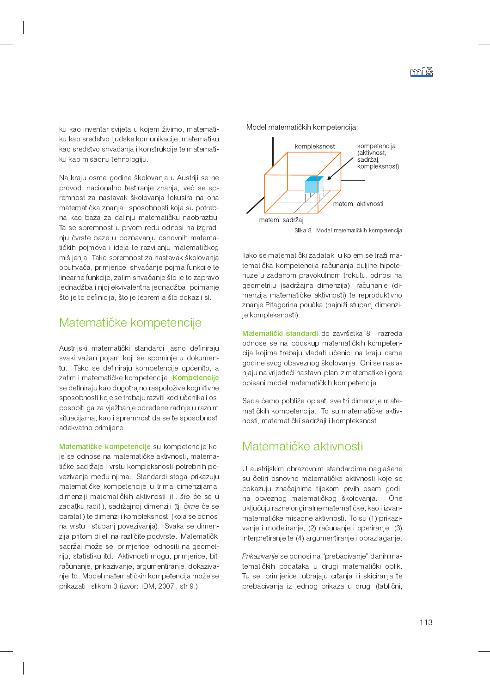ku kao inventar svijeta u kojem živimo, matematiku kao sredstvo ljudske komunikacije, matematiku kao sredstvo shvaćanja i konstrukcije te matematiku kao misaonu tehnologiju.

Na kraju osme godine školovanja u Austriji se ne provodi nacionalno testiranje znanja, već se spremnost za nastavak školovanja fokusira na ona matematička znanja i sposobnosti koja su potrebna kao baza za daljnju matematičku naobrazbu. Ta se spremnost u prvom redu odnosi na izgradnju čvrste baze u poznavanju osnovnih matematičkih pojmova i ideja te razvijanju matematičkog mišljenja. Tako spremnost za nastavak školovanja obuhvaća, primjerice, shvaćanje pojma funkcije te linearne funkcije, zatim shvaćanje što je to zapravo jednadžba i njoj ekvivalentna jednadžba, poimanje što je to definicija, što je teorem a što dokaz i sl.

## Matematičke kompetencije

Austrijski matematički standardi jasno definiraju svaki važan pojam koji se spominje u dokumentu. Tako se definiraju kompetencije općenito, a zatim i matematičke kompetencije. Kompetencije se definiraju kao dugotrajno raspoložive kognitivne sposobnosti koje se trebaju razviti kod učenika i osposobiti ga za vježbanje određene radnje u raznim situacijama, kao i spremnost da se te sposobnosti adekvatno primijene.

Matematičke kompetencije su kompetencije koje se odnose na matematičke aktivnosti, matematičke sadržaje i vrstu kompleksnosti potrebnih povezivanja među njima. Standardi stoga prikazuju matematičke kompetencije u trima dimenzijama: dimenziji matematičkih aktivnosti (tj. što će se u zadatku raditi), sadržajnoj dimenziji (tj. čime će se baratati) te dimenziji kompleksnosti (koja se odnosi na vrstu i stupanj povezivanja). Svaka se dimenzija pritom dijeli na različite podvrste. Matematički sadržaj može se, primjerice, odnositi na geometriju, statistiku itd. Aktivnosti mogu, primjerice, biti računanje, prikazivanje, argumentiranje, dokazivanje itd. Model matematičkih kompetencija može se prikazati i slikom 3 (izvor: IDM, 2007., str 9.).



Model matematičkih kompetencija:

Tako se matematički zadatak, u kojem se traži matematička kompetencija računanja duljine hipotenuze u zadanom pravokutnom trokutu, odnosi na geometriju (sadržajna dimenzija), računanje (dimenzija matematičke aktivnosti) te reproduktivno znanje Pitagorina poučka (najniži stupanj dimenzije kompleksnosti).

Matematički standardi do završetka 8. razreda odnose se na podskup matematičkih kompetencija kojima trebaju vladati učenici na kraju osme godine svog obaveznog školovanja. Oni se naslanjaju na vrijedeći nastavni plan iz matematike i gore opisani model matematičkih kompetencija.

Sada ćemo pobliže opisati sve tri dimenzije matematičkih kompetencija. To su matematičke aktivnosti, matematički sadržaji i kompleksnost.

## Matematičke aktivnosti

U austrijskim obrazovnim standardima naglašene su četiri osnovne matematičke aktivnosti koje se pokazuju značajnima tijekom prvih osam godina obveznog matematičkog školovanja. One uključuju razne originalne matematičke, kao i izvanmatematičke misaone aktivnosti. To su (1) prikazivanje i modeliranje, (2) računanje i operiranje, (3) interpretiranje te (4) argumentiranje i obrazlaganje.

Prikazivanje se odnosi na "prebacivanje" danih matematičkih podataka u drugi matematički oblik. Tu se, primjerice, ubrajaju crtanja ili skiciranja te prebacivanja iz jednog prikaza u drugi (tablični,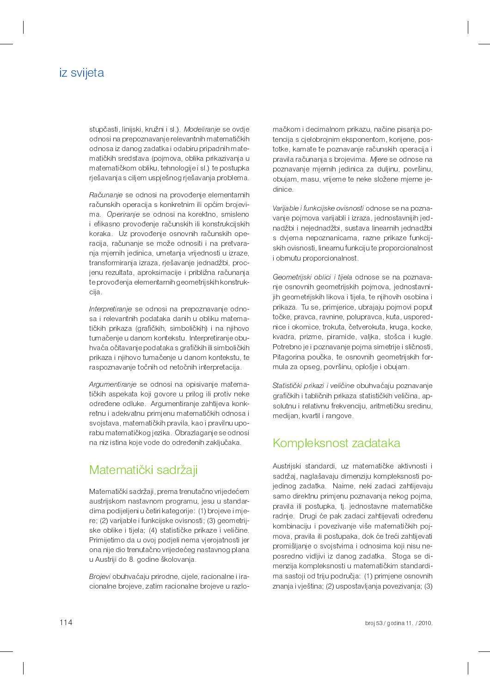## iz svijeta

stupčasti, linijski, kružni i sl.) Modeliranje se ovdje odnosi na prepoznavanje relevantnih matematičkih odnosa iz danog zadatka i odabiru pripadnih matematičkih sredstava (pojmova, oblika prikazivanja u matematičkom obliku, tehnologije i sl.) te postupka rješavanja s ciljem uspješnog rješavanja problema.

Računanje se odnosi na provođenje elementarnih računskih operacija s konkretnim ili općim brojevima. Operiranje se odnosi na korektno, smisleno i efikasno provođenje računskih ili konstrukcijskih koraka. Uz provođenje osnovnih računskih operacija, računanje se može odnositi i na pretvaranja mjernih jedinica, umetanja vrijednosti u izraze, transformiranja izraza, rješavanje jednadžbi, procjenu rezultata, aproksimacije i približna računanja te provođenja elementarnih geometrijskih konstrukcija.

Interpretiranje se odnosi na prepoznavanje odnosa i relevantnih podataka danih u obliku matematičkih prikaza (grafičkih, simboličkih) i na njihovo tumačenje u danom kontekstu. Interpretiranje obuhvaća očitavanje podataka s grafičkih ili simboličkih prikaza i njihovo tumačenje u danom kontekstu, te raspoznavanje točnih od netočnih interpretacija.

Argumentiranje se odnosi na opisivanje matematičkih aspekata koji govore u prilog ili protiv neke određene odluke. Argumentiranje zahtijeva konkretnu i adekvatnu primjenu matematičkih odnosa i svojstava, matematičkih pravila, kao i pravilnu uporabu matematičkog jezika. Obrazlaganje se odnosi na niz istina koje vode do određenih zaključaka.

## Matematički sadržaji

Matematički sadržaji, prema trenutačno vrijedećem austrijskom nastavnom programu, jesu u standardima podijeljeni u četiri kategorije: (1) brojeve i mjere; (2) varijable i funkcijske ovisnosti; (3) geometrijske oblike i tijela; (4) statističke prikaze i veličine. Primijetimo da u ovoj podjeli nema vjerojatnosti jer ona nije dio trenutačno vrijedećeg nastavnog plana u Austriji do 8. godine školovanja.

Brojevi obuhvaćaju prirodne, cijele, racionalne i iracionalne brojeve, zatim racionalne brojeve u razlo-

mačkom i decimalnom prikazu, načine pisanja potencija s cjelobrojnim eksponentom, korijene, postotke, kamate te poznavanje računskih operacija i pravila računanja s brojevima. Mjere se odnose na poznavanje mjernih jedinica za duljinu, površinu, obujam, masu, vrijeme te neke složene mjerne jedinice.

Varijable i funkcijske ovisnosti odnose se na poznavanje pojmova varijabli i izraza, jednostavnijih jednadžbi i nejednadžbi, sustava linearnih jednadžbi s dvjema nepoznanicama, razne prikaze funkcijskih ovisnosti, linearnu funkciju te proporcionalnost *i* obrnutu proporcionalnost.

Geometrijski oblici i tijela odnose se na poznavanje osnovnih geometrijskih pojmova, jednostavnijih geometrijskih likova i tijela, te njihovih osobina i prikaza. Tu se, primjerice, ubrajaju pojmovi poput točke, pravca, ravnine, polupravca, kuta, usporednice i okomice, trokuta, četverokuta, kruga, kocke, kvadra, prizme, piramide, valjka, stošca i kugle. Potrebno je i poznavanje pojma simetrije i sličnosti, Pitagorina poučka, te osnovnih geometrijskih formula za opseg, površinu, oplošje i obujam.

Statistički prikazi i veličine obuhvaćaju poznavanje grafičkih i tabličnih prikaza statističkih veličina, apsolutnu i relativnu frekvenciju, aritmetičku sredinu, medijan, kvartil i rangove.

## Kompleksnost zadataka

Austrijski standardi, uz matematičke aktivnosti i sadržaj, naglašavaju dimenziju kompleksnosti pojedinog zadatka. Naime, neki zadaci zahtijevaju samo direktnu primjenu poznavanja nekog pojma, pravila ili postupka, tj. jednostavne matematičke radnje. Drugi će pak zadaci zahtijevati određenu kombinaciju i povezivanje više matematičkih pojmova, pravila ili postupaka, dok će treći zahtijevati promišljanje o svojstvima i odnosima koji nisu neposredno vidljivi iz danog zadatka. Stoga se dimenzija kompleksnosti u matematičkim standardima sastoji od triju područja: (1) primjene osnovnih znanja i vještina; (2) uspostavljanja povezivanja; (3)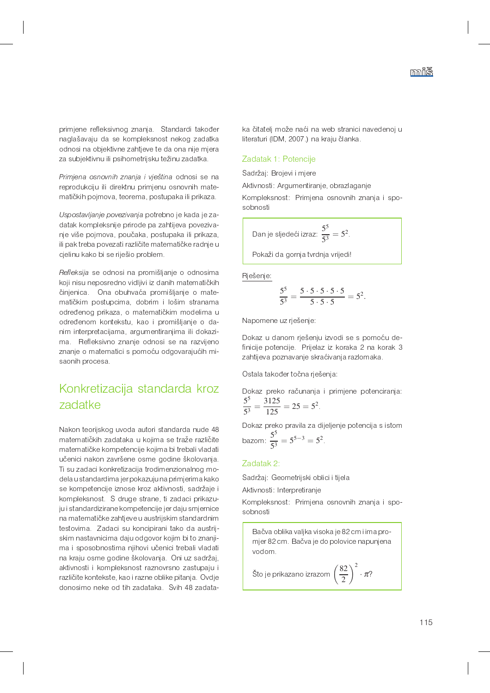primjene refleksivnog znanja. Standardi također naglašavaju da se kompleksnost nekog zadatka odnosi na objektivne zahtjeve te da ona nije mjera za subjektivnu ili psihometrijsku težinu zadatka.

Primjena osnovnih znanja i vještina odnosi se na reprodukciju ili direktnu primjenu osnovnih matematičkih pojmova, teorema, postupaka ili prikaza.

Uspostavljanje povezivanja potrebno je kada je zadatak kompleksnije prirode pa zahtijeva povezivanje više pojmova, poučaka, postupaka ili prikaza, ili pak treba povezati različite matematičke radnje u cjelinu kako bi se riješio problem.

Refleksija se odnosi na promišljanje o odnosima koji nisu neposredno vidljivi iz danih matematičkih činjenica. Ona obuhvaća promišljanje o matematičkim postupcima, dobrim i lošim stranama određenog prikaza, o matematičkim modelima u određenom kontekstu, kao i promišljanje o danim interpretacijama, argumentiranjima ili dokazima. Refleksivno znanje odnosi se na razvijeno znanje o matematici s pomoću odgovarajućih misaonih procesa.

## Konkretizacija standarda kroz zadatke

Nakon teorijskog uvoda autori standarda nude 48 matematičkih zadataka u kojima se traže različite matematičke kompetencije kojima bi trebali vladati učenici nakon završene osme godine školovanja. Ti su zadaci konkretizacija trodimenzionalnog modela u standardima jer pokazuju na primjerima kako se kompetencije iznose kroz aktivnosti, sadržaje i kompleksnost. S druge strane, ti zadaci prikazuju i standardizirane kompetencije jer daju smjernice na matematičke zahtjeve u austrijskim standardnim testovima. Zadaci su koncipirani tako da austrijskim nastavnicima daju odgovor kojim bi to znanjima i sposobnostima njihovi učenici trebali vladati na kraju osme godine školovanja. Oni uz sadržaj, aktivnosti i kompleksnost raznovrsno zastupaju i različite kontekste, kao i razne oblike pitanja. Ovdje donosimo neke od tih zadataka. Svih 48 zadataka čitatelj može naći na web stranici navedenoj u literaturi (IDM, 2007.) na kraju članka.

#### Zadatak 1: Potencije

Sadržaj: Brojevi i mjere

Aktivnosti: Argumentiranje, obrazlaganje

Kompleksnost: Primjena osnovnih znanja i sposobnosti

Dan je sljedeći izraz: 
$$
\frac{5^5}{5^3} = 5^2.
$$

Pokaži da gornja tvrdnja vrijedi!

Rješenje:

$$
\frac{5^5}{5^3} = \frac{5 \cdot 5 \cdot 5 \cdot 5 \cdot 5}{5 \cdot 5 \cdot 5} = 5^2.
$$

Napomene uz rješenje:

Dokaz u danom rješenju izvodi se s pomoću definicije potencije. Prijelaz iz koraka 2 na korak 3 zahtijeva poznavanje skraćivanja razlomaka.

Ostala također točna rješenja:

Dokaz preko računanja i primjene potenciranja:  $rac{5^5}{5^3} = \frac{3125}{125} = 25 = 5^2$ 

Dokaz preko pravila za dijeljenje potencija s istom<br>bazom:  $\frac{5^5}{5^3} = 5^{5-3} = 5^2$ .

#### Zadatak 21

Sadržaj: Geometrijski oblici i tijela

Aktivnosti: Interpretiranje

Kompleksnost: Primjena osnovnih znanja i sposobnosti

Bačva oblika valjka visoka je 82 cm i ima promjer 82 cm. Bačva je do polovice napunjena vodom. Što je prikazano izrazom  $\left(\frac{82}{2}\right)^2 \cdot \pi$ ?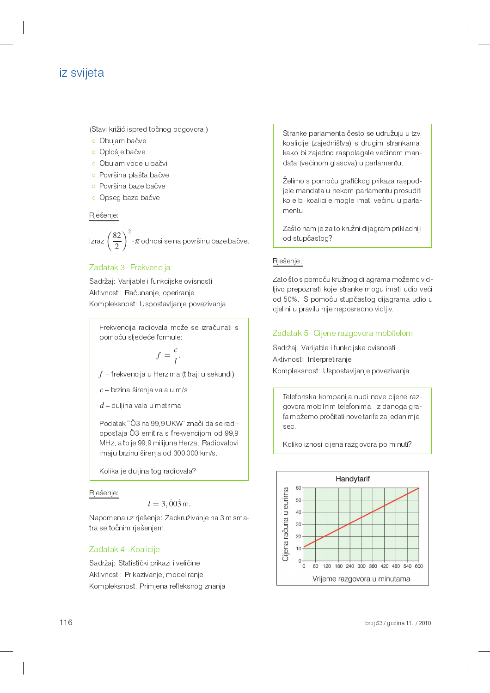## iz svijeta

(Stavi križić ispred točnog odgovora.)

- o Obujam bačve
- o Oplošje bačve
- o Obujam vode u bačvi
- o Površina plašta bačve
- o Površina baze bačve
- o Opseg baze bačve

#### Rješenje:

Izraz  $\left(\frac{82}{2}\right)^2 \cdot \pi$  odnosi se na površinu baze bačve.

#### Zadatak 3: Frekvencija

Sadržaj: Varijable i funkcijske ovisnosti Aktivnosti: Računanje, operiranje Kompleksnost: Uspostavljanje povezivanja

Frekvencija radiovala može se izračunati s pomoću sljedeće formule:

$$
f = \frac{c}{l}.
$$

 $f$  – frekvencija u Herzima (titraji u sekundi)

 $c$  – brzina širenja vala u m/s

 $d$  – duljina vala u metrima

Podatak "Ö3 na 99,9 UKW" znači da se radiopostaja Ö3 emitira s frekvencijom od 99,9 MHz, a to je 99,9 milijuna Herza. Radiovalovi imaju brzinu širenja od 300000 km/s.

Kolika je duljina tog radiovala?

#### Rješenje:

#### $l = 3,003$  m.

Napomena uz rješenje: Zaokruživanje na 3 m smatra se točnim rješenjem.

#### Zadatak 4: Koalicije

Sadržaj: Statistički prikazi i veličine Aktivnosti: Prikazivanje, modeliranje Kompleksnost: Primjena refleksnog znanja Stranke parlamenta često se udružuju u tzv. koalicije (zajedništva) s drugim strankama. kako bi zajedno raspolagale većinom mandata (većinom glasova) u parlamentu.

Želimo s pomoću grafičkog prikaza raspodjele mandata u nekom parlamentu prosuditi koje bi koalicije mogle imati većinu u parlamentu.

Zašto nam je za to kružni dijagram prikladniji od stupčastog?

#### Rješenje:

Zato što s pomoću kružnog dijagrama možemo vidljivo prepoznati koje stranke mogu imati udio veći od 50%. S pomoću stupčastog dijagrama udio u cjelini u pravilu nije neposredno vidljiv.

#### Zadatak 5: Cijene razgovora mobitelom

Sadržaj: Varijable i funkcijske ovisnosti Aktivnosti: Interpretiranje Kompleksnost: Uspostavljanje povezivanja

Telefonska kompanija nudi nove cijene razgovora mobilnim telefonima. Iz danoga grafa možemo pročitati nove tarife za jedan mjesec.

Koliko iznosi cijena razgovora po minuti?